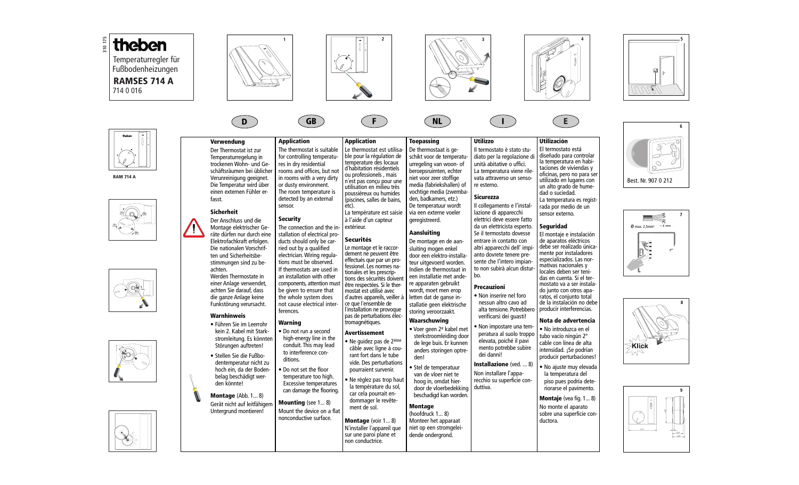





**D**

**RAM 714 A**









**GB F NL I E**